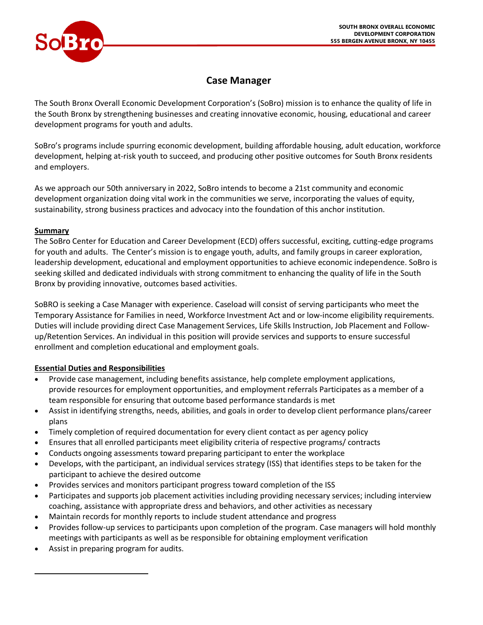

# **Case Manager**

The South Bronx Overall Economic Development Corporation's (SoBro) mission is to enhance the quality of life in the South Bronx by strengthening businesses and creating innovative economic, housing, educational and career development programs for youth and adults.

SoBro's programs include spurring economic development, building affordable housing, adult education, workforce development, helping at-risk youth to succeed, and producing other positive outcomes for South Bronx residents and employers.

As we approach our 50th anniversary in 2022, SoBro intends to become a 21st community and economic development organization doing vital work in the communities we serve, incorporating the values of equity, sustainability, strong business practices and advocacy into the foundation of this anchor institution.

## **Summary**

The SoBro Center for Education and Career Development (ECD) offers successful, exciting, cutting-edge programs for youth and adults. The Center's mission is to engage youth, adults, and family groups in career exploration, leadership development, educational and employment opportunities to achieve economic independence. SoBro is seeking skilled and dedicated individuals with strong commitment to enhancing the quality of life in the South Bronx by providing innovative, outcomes based activities.

SoBRO is seeking a Case Manager with experience. Caseload will consist of serving participants who meet the Temporary Assistance for Families in need, Workforce Investment Act and or low-income eligibility requirements. Duties will include providing direct Case Management Services, Life Skills Instruction, Job Placement and Followup/Retention Services. An individual in this position will provide services and supports to ensure successful enrollment and completion educational and employment goals.

## **Essential Duties and Responsibilities**

- Provide case management, including benefits assistance, help complete employment applications, provide resources for employment opportunities, and employment referrals Participates as a member of a team responsible for ensuring that outcome based performance standards is met
- Assist in identifying strengths, needs, abilities, and goals in order to develop client performance plans/career plans
- Timely completion of required documentation for every client contact as per agency policy
- Ensures that all enrolled participants meet eligibility criteria of respective programs/ contracts
- Conducts ongoing assessments toward preparing participant to enter the workplace
- Develops, with the participant, an individual services strategy (ISS) that identifies steps to be taken for the participant to achieve the desired outcome
- Provides services and monitors participant progress toward completion of the ISS
- Participates and supports job placement activities including providing necessary services; including interview coaching, assistance with appropriate dress and behaviors, and other activities as necessary
- Maintain records for monthly reports to include student attendance and progress
- Provides follow-up services to participants upon completion of the program. Case managers will hold monthly meetings with participants as well as be responsible for obtaining employment verification
- Assist in preparing program for audits.